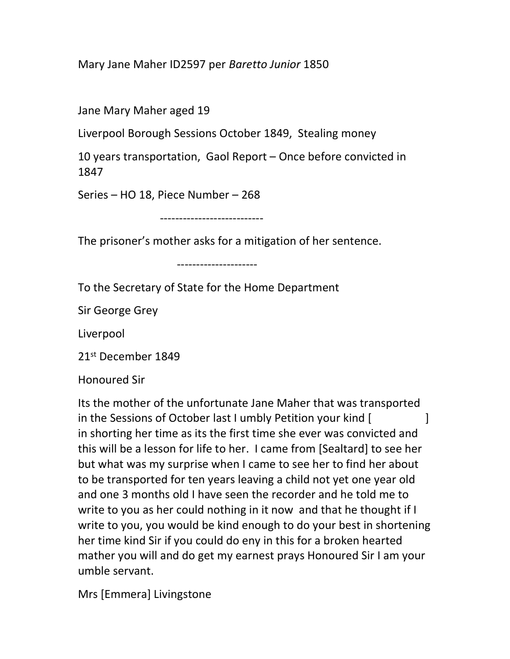Mary Jane Maher ID2597 per Baretto Junior 1850

Jane Mary Maher aged 19

Liverpool Borough Sessions October 1849, Stealing money

10 years transportation, Gaol Report – Once before convicted in 1847

Series – HO 18, Piece Number – 268

---------------------------

The prisoner's mother asks for a mitigation of her sentence.

---------------------

To the Secretary of State for the Home Department

Sir George Grey

Liverpool

21<sup>st</sup> December 1849

Honoured Sir

Its the mother of the unfortunate Jane Maher that was transported in the Sessions of October last I umbly Petition your kind [ ] in shorting her time as its the first time she ever was convicted and this will be a lesson for life to her. I came from [Sealtard] to see her but what was my surprise when I came to see her to find her about to be transported for ten years leaving a child not yet one year old and one 3 months old I have seen the recorder and he told me to write to you as her could nothing in it now and that he thought if I write to you, you would be kind enough to do your best in shortening her time kind Sir if you could do eny in this for a broken hearted mather you will and do get my earnest prays Honoured Sir I am your umble servant.

Mrs [Emmera] Livingstone